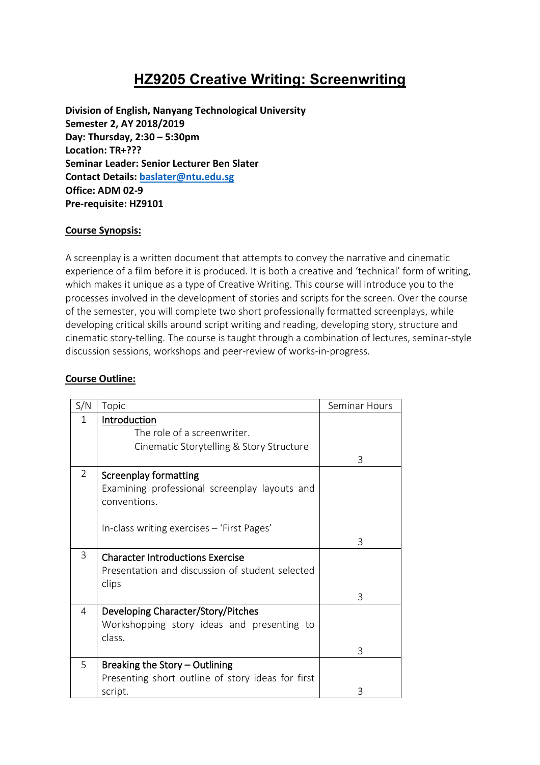# **HZ9205 Creative Writing: Screenwriting**

**Division of English, Nanyang Technological University Semester 2, AY 2018/2019 Day: Thursday, 2:30 – 5:30pm Location: TR+??? Seminar Leader: Senior Lecturer Ben Slater Contact Details[: baslater@ntu.edu.sg](mailto:baslater@ntu.edu.sg) Office: ADM 02-9 Pre-requisite: HZ9101**

#### **Course Synopsis:**

A screenplay is a written document that attempts to convey the narrative and cinematic experience of a film before it is produced. It is both a creative and 'technical' form of writing, which makes it unique as a type of Creative Writing. This course will introduce you to the processes involved in the development of stories and scripts for the screen. Over the course of the semester, you will complete two short professionally formatted screenplays, while developing critical skills around script writing and reading, developing story, structure and cinematic story-telling. The course is taught through a combination of lectures, seminar-style discussion sessions, workshops and peer-review of works-in-progress.

## **Course Outline:**

| S/N            | Topic                                                                                               | Seminar Hours |
|----------------|-----------------------------------------------------------------------------------------------------|---------------|
| 1              | Introduction<br>The role of a screenwriter.<br>Cinematic Storytelling & Story Structure             | 3             |
| $\overline{2}$ | <b>Screenplay formatting</b><br>Examining professional screenplay layouts and<br>conventions.       |               |
|                | In-class writing exercises - 'First Pages'                                                          | 3             |
| 3              | <b>Character Introductions Exercise</b><br>Presentation and discussion of student selected<br>clips |               |
|                |                                                                                                     | 3             |
| 4              | Developing Character/Story/Pitches<br>Workshopping story ideas and presenting to<br>class.          |               |
|                |                                                                                                     | 3             |
| 5              | Breaking the Story - Outlining<br>Presenting short outline of story ideas for first<br>script.      | Β             |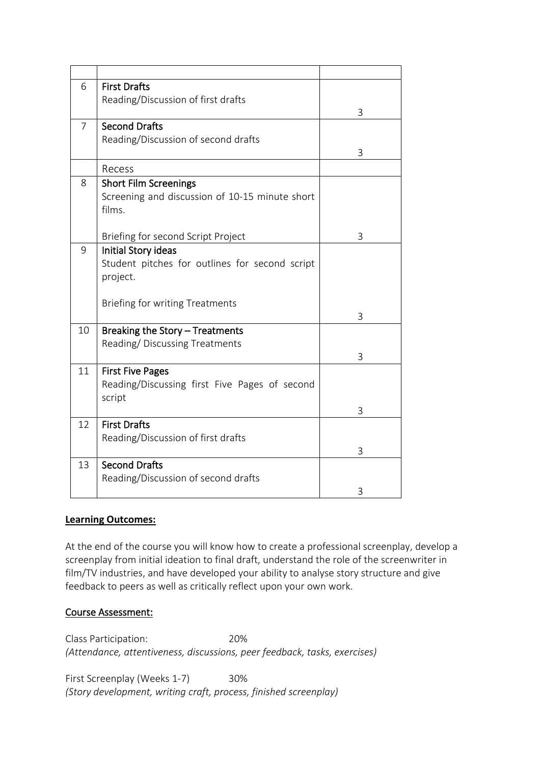| 6              | <b>First Drafts</b>                                              |   |
|----------------|------------------------------------------------------------------|---|
|                | Reading/Discussion of first drafts                               |   |
|                |                                                                  | 3 |
| $\overline{7}$ | <b>Second Drafts</b>                                             |   |
|                | Reading/Discussion of second drafts                              |   |
|                |                                                                  | 3 |
|                | Recess                                                           |   |
| 8              | <b>Short Film Screenings</b>                                     |   |
|                | Screening and discussion of 10-15 minute short                   |   |
|                | films.                                                           |   |
|                |                                                                  |   |
|                | Briefing for second Script Project                               | 3 |
| 9              | Initial Story ideas                                              |   |
|                | Student pitches for outlines for second script                   |   |
|                | project.                                                         |   |
|                |                                                                  |   |
|                | <b>Briefing for writing Treatments</b>                           | 3 |
| 10             |                                                                  |   |
|                | Breaking the Story - Treatments<br>Reading/Discussing Treatments |   |
|                |                                                                  | 3 |
| 11             | <b>First Five Pages</b>                                          |   |
|                | Reading/Discussing first Five Pages of second                    |   |
|                | script                                                           |   |
|                |                                                                  | 3 |
| 12             | <b>First Drafts</b>                                              |   |
|                | Reading/Discussion of first drafts                               |   |
|                |                                                                  | 3 |
| 13             | <b>Second Drafts</b>                                             |   |
|                | Reading/Discussion of second drafts                              |   |
|                |                                                                  | 3 |

#### **Learning Outcomes:**

At the end of the course you will know how to create a professional screenplay, develop a screenplay from initial ideation to final draft, understand the role of the screenwriter in film/TV industries, and have developed your ability to analyse story structure and give feedback to peers as well as critically reflect upon your own work.

#### Course Assessment:

Class Participation: 20% *(Attendance, attentiveness, discussions, peer feedback, tasks, exercises)*

First Screenplay (Weeks 1-7) 30% *(Story development, writing craft, process, finished screenplay)*